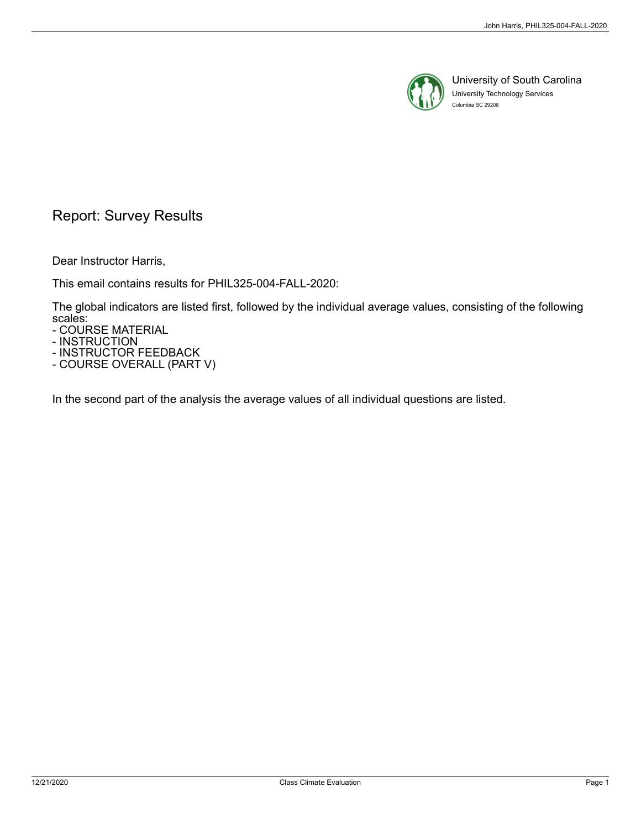

University of South Carolina University Technology Services Columbia SC 29208

## Report: Survey Results

Dear Instructor Harris,

This email contains results for PHIL325-004-FALL-2020:

The global indicators are listed first, followed by the individual average values, consisting of the following scales:

- COURSE MATERIAL

- INSTRUCTION

- INSTRUCTOR FEEDBACK - COURSE OVERALL (PART V)

In the second part of the analysis the average values of all individual questions are listed.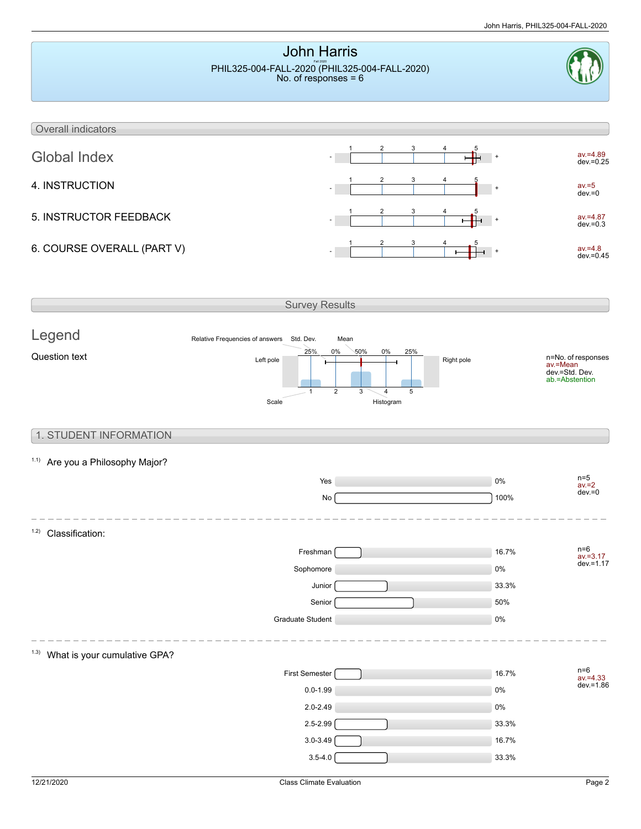

 $3.5-4.0$  33.3%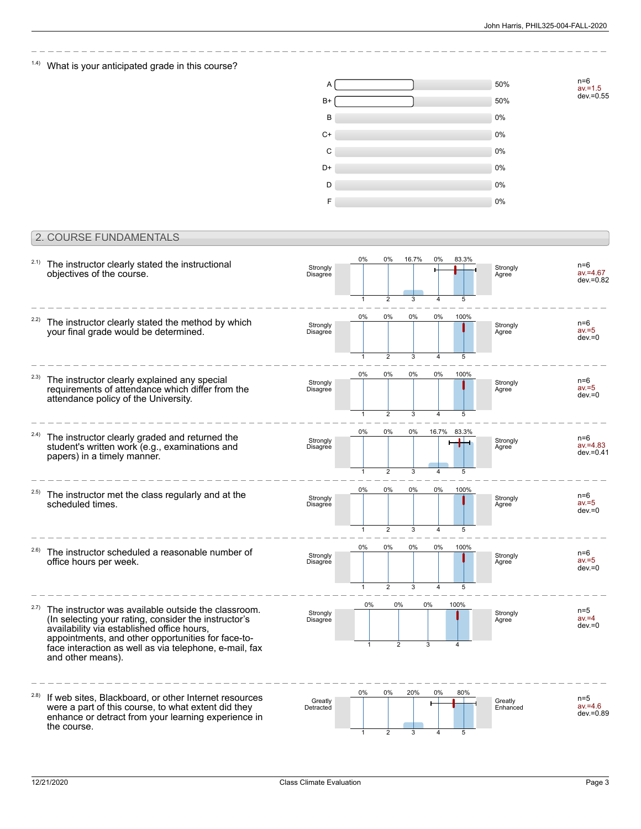n=6 av.=1.5 dev.=0.55

### $1.4$ ) What is your anticipated grade in this course?



#### 2. COURSE FUNDAMENTALS

| 2.1)  | The instructor clearly stated the instructional<br>objectives of the course.                                                                                                                                                                                                                   | Strongly<br>Disagree        | $0\%$<br>$\blacktriangleleft$ | 0%<br>$\overline{2}$                   | 16.7%<br>3     | 0%                        | 83.3%<br>5 | Strongly<br>Agree   | $n=6$<br>$av = 4.67$<br>$dev = 0.82$ |
|-------|------------------------------------------------------------------------------------------------------------------------------------------------------------------------------------------------------------------------------------------------------------------------------------------------|-----------------------------|-------------------------------|----------------------------------------|----------------|---------------------------|------------|---------------------|--------------------------------------|
| 2.2)  | The instructor clearly stated the method by which<br>your final grade would be determined.                                                                                                                                                                                                     | Strongly<br>Disagree        | 0%                            | 0%                                     | 0%             | 0%                        | 100%       | Strongly<br>Agree   | $n=6$<br>$av = 5$<br>$dev = 0$       |
| (2.3) | The instructor clearly explained any special<br>requirements of attendance which differ from the<br>attendance policy of the University.                                                                                                                                                       | Strongly<br>Disagree        | $\overline{1}$<br>0%          | $\overline{2}$<br>0%                   | 3<br>$0\%$     | 0%                        | 5<br>100%  | Strongly<br>Agree   | $n=6$<br>$av = 5$<br>$dev = 0$       |
| 2.4)  | The instructor clearly graded and returned the<br>student's written work (e.g., examinations and<br>papers) in a timely manner.                                                                                                                                                                | Strongly<br>Disagree        | 1<br>0%                       | $\overline{2}$<br>0%                   | 3<br>0%        | 16.7%                     | 83.3%      | Strongly<br>Agree   | $n=6$<br>$av = 4.83$<br>$dev = 0.41$ |
| (2.5) | The instructor met the class regularly and at the<br>scheduled times.                                                                                                                                                                                                                          | Strongly<br><b>Disagree</b> | $\mathbf{1}$<br>$0\%$         | $\overline{2}$<br>0%                   | 3<br>0%        | 4<br>0%                   | 5<br>100%  | Strongly<br>Agree   | $n=6$<br>$av = 5$<br>$dev = 0$       |
| 2.6)  | The instructor scheduled a reasonable number of<br>office hours per week.                                                                                                                                                                                                                      | Strongly<br>Disagree        | $\mathbf{1}$<br>$0\%$<br>1    | $\overline{2}$<br>0%<br>$\overline{2}$ | 3<br>0%<br>3   | 4<br>0%<br>$\overline{4}$ | 5<br>100%  | Strongly<br>Agree   | $n=6$<br>$av = 5$<br>$dev = 0$       |
| 2.7)  | The instructor was available outside the classroom.<br>(In selecting your rating, consider the instructor's<br>availability via established office hours,<br>appointments, and other opportunities for face-to-<br>face interaction as well as via telephone, e-mail, fax<br>and other means). | Strongly<br>Disagree        | $0\%$                         | 0%                                     | $\overline{2}$ | 0%<br>3                   | 100%       | Strongly<br>Agree   | $n=5$<br>$av = 4$<br>$dev = 0$       |
| 2.8)  | If web sites, Blackboard, or other Internet resources<br>were a part of this course, to what extent did they<br>enhance or detract from your learning experience in<br>the course.                                                                                                             | Greatly<br>Detracted        | $0\%$<br>$\overline{1}$       | 0%<br>$\overline{2}$                   | 20%<br>3       | 0%<br>$\overline{4}$      | 80%<br>5   | Greatly<br>Enhanced | $n=5$<br>$av = 4.6$<br>$dev = 0.89$  |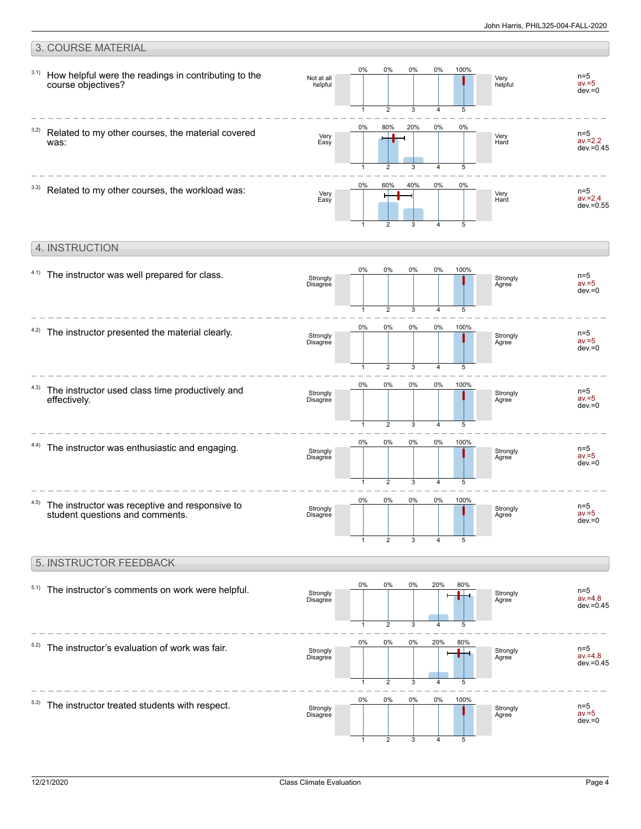#### 3. COURSE MATERIAL 0% 0% 100% 0% 0% 3.1) How helpful were the readings in contributing to the  $n=5$ Not at all Very helpful course objectives?  $av = 5$ helpful dev.=0  $\overline{2}$ 3 5 4 1 20% 0% 0% 80% 0% 3.2) Related to my other courses, the material covered n=5 Very Easy Very Hard av.=2.2 was:  $dev = 0.45$  $\mathcal{D}$ 3 4 5 1 60% 40% 0% 0% 0%  $3.3)$  Related to my other courses, the workload was: n=5 Very Easy Н Very Hard av.=2.4 dev.=0.55 3 1 2 4 5 4. INSTRUCTION 0% 0% 0% 0% 100%  $4.1)$  The instructor was well prepared for class. n=5 av.=5 Strongly Disagree Strongly Agree  $dev = 0$ 3 5 1 2 4 0% 0% 0% 0% 100%  $4.2$ ) The instructor presented the material clearly. n=5 av.=5 Strongly Disagree Strongly Agree dev.=0  $\overline{2}$ 3 4 5 1 0% 0% 0% 0% 100% 4.3) The instructor used class time productively and  $n=5$ Strongly Disagree Strongly Agree effectively.  $av = 5$ dev.=0 1 2 3 4 5

| 4.4) The instructor was enthusiastic and engaging.                                     | Strongly<br>Disagree | 0%    | 0%    | $0\%$ | $0\%$ | 100% | Strongly<br>Agree | $n=5$<br>$av = 5$<br>$dev = 0$ |
|----------------------------------------------------------------------------------------|----------------------|-------|-------|-------|-------|------|-------------------|--------------------------------|
| $4.5$ ) The instructor was receptive and responsive to student questions and comments. | Strongly             | $0\%$ | $0\%$ | $0\%$ | $0\%$ | 100% | Strongly<br>Agree | $n=5$                          |
|                                                                                        | Disagree             |       |       |       |       |      |                   | $av = 5$<br>$dev = 0$          |

1

2

3

4

5

#### 5. INSTRUCTOR FEEDBACK

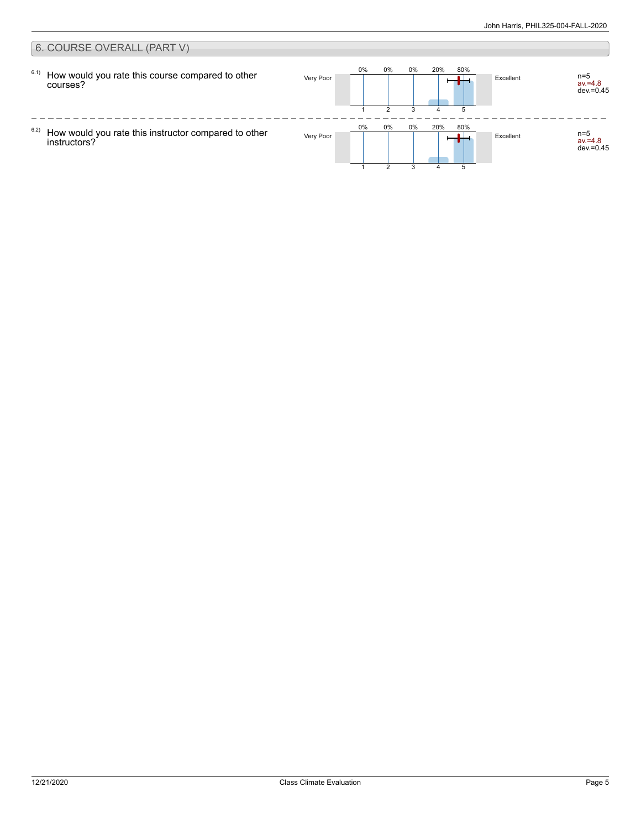#### 6. COURSE OVERALL (PART V) 0% 0% 0% 20% 80% 6.1) How would you rate this course compared to other Very Poor **Excellent** Excellent av.=4.8 dev.=0.45 courses? 1 2 3 5 4  $\frac{1}{2}$  $- - - -$ 0% 0% 0% 20% 80% 6.2) How would you rate this instructor compared to other Very Poor **Excellent** Research New York Poor av.=4.8 dev.=0.45 instructors?  $\mathfrak{p}$ 3 51 4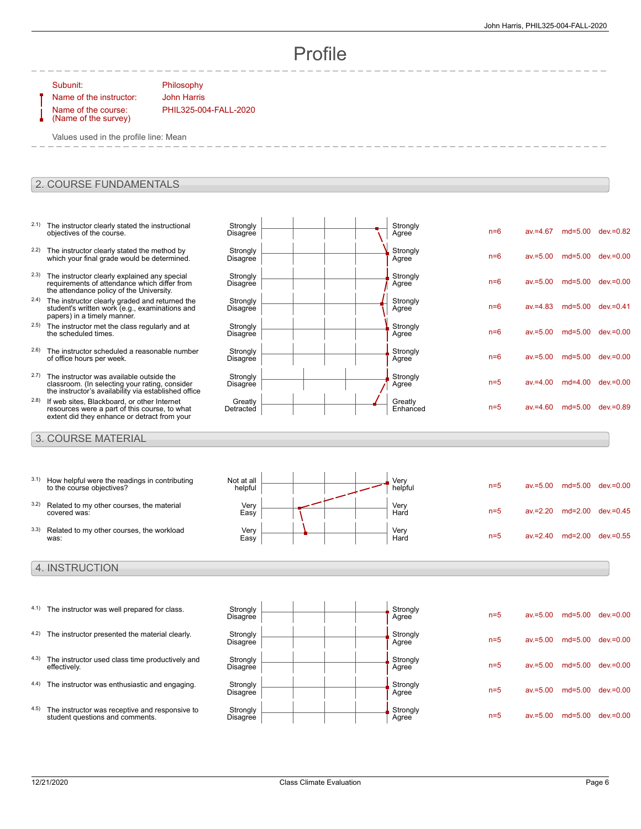n=6 av.=4.67 md=5.00 dev.=0.82

n=6 av.=5.00 md=5.00 dev.=0.00

n=6 av.=5.00 md=5.00 dev.=0.00

n=6 av.=4.83 md=5.00 dev.=0.41

n=6 av.=5.00 md=5.00 dev.=0.00

n=6 av.=5.00 md=5.00 dev.=0.00

n=5 av.=4.00 md=4.00 dev.=0.00

 $n=5$  av $=4.60$  md=5.00 dev $=0.89$ 

# Profile

Strongly<br>Agree

Strongly<br>Agree

Strongly<br>Agree

Strongly<br>Agree

Strongly<br>Agree

Strongly<br>Agree

Strongly<br>Agree

Greatly<br>Enhanced

Subunit: Philosophy

Name of the course: (Name of the survey)

Name of the instructor: John Harris PHIL325-004-FALL-2020

> **Strongly** Disagree

> **Strongly Disagree**

**Strongly Disagree** 

**Strongly Disagree** 

**Strongly Disagree** 

**Strongly Disagree** 

**Strongly Disagree** 

**Greatly** Detracted

Values used in the profile line: Mean

#### 2. COURSE FUNDAMENTALS

- 2.1) The instructor clearly stated the instructional objectives of the course.
- <sup>2.2)</sup> The instructor clearly stated the method by which your final grade would be determined.
- <sup>2.3)</sup> The instructor clearly explained any special requirements of attendance which differ from the attendance policy of the University.
- <sup>2.4)</sup> The instructor clearly graded and returned the student's written work (e.g., examinations and papers) in a timely manner.
- 2.5) The instructor met the class regularly and at the scheduled times.
- 2.6) The instructor scheduled a reasonable number of office hours per week.
- 2.7) The instructor was available outside the classroom. (In selecting your rating, consider the instructor's availability via established office
- 2.8) If web sites, Blackboard, or other Internet resources were a part of this course, to what extent did they enhance or detract from your

#### 3. COURSE MATERIAL

| 3.1) | How helpful were the readings in contributing<br>to the course objectives? | Not at all<br>helpful |  | Very<br>helpful | $n=5$ | $av = 5.00$ | $md = 5.00$ | dev.=0.00    |
|------|----------------------------------------------------------------------------|-----------------------|--|-----------------|-------|-------------|-------------|--------------|
| 3.2) | Related to my other courses, the material<br>covered was:                  | Very<br>Easy          |  | Very<br>Hard    | $n=5$ | $av = 2.20$ | $md=2.00$   | $dev = 0.45$ |
| 3.3) | Related to my other courses, the workload<br>was:                          | Very<br>Easy          |  | Very<br>Hard    | $n=5$ | $av = 2.40$ | $md=2.00$   | $dev = 0.55$ |

#### 4. INSTRUCTION

4.1) The instructor was well prepared for class. Strongly Disagree **Strongly** Agree n=5 av.=5.00 md=5.00 dev.=0.00 4.2) The instructor presented the material clearly. Strongly Disagree Strongly<br>Agree n=5 av.=5.00 md=5.00 dev.=0.00 4.3) The instructor used class time productively and effectively. **Strongly Disagree** Strongly<br>Agree n=5 av.=5.00 md=5.00 dev.=0.00 4.4) The instructor was enthusiastic and engaging. Strongly **Disagree** Strongly<br>Agree n=5 av.=5.00 md=5.00 dev.=0.00 4.5) The instructor was receptive and responsive to student questions and comments. **Strongly Disagree** Strongly<br>Agree n=5 av.=5.00 md=5.00 dev.=0.00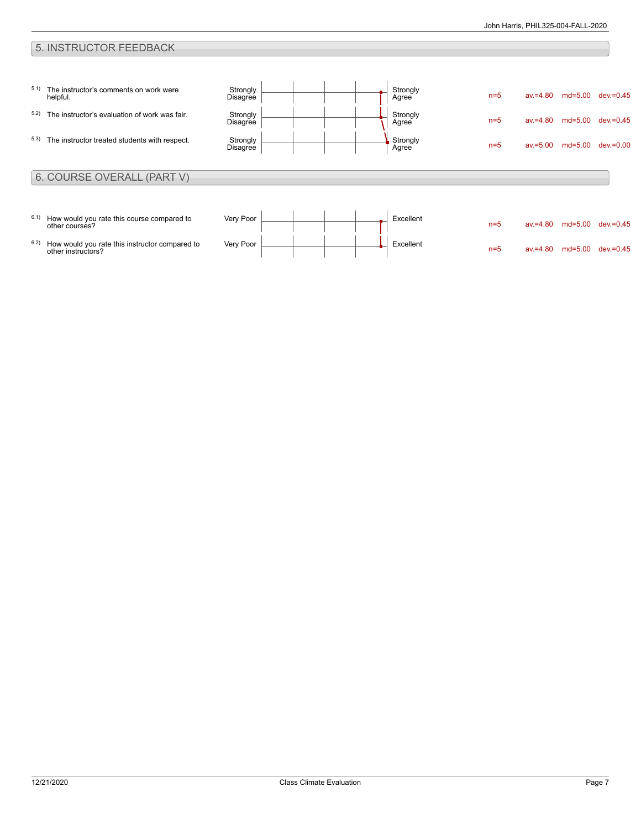### 5. INSTRUCTOR FEEDBACK

| 5.1) | The instructor's comments on work were<br>helpful.           | Strongly<br><b>Disagree</b> |  | Strongly<br>Agree | $n=5$ | $av = 4.80$ | $md=5.00$   | $dev = 0.45$ |
|------|--------------------------------------------------------------|-----------------------------|--|-------------------|-------|-------------|-------------|--------------|
| 5.2) | The instructor's evaluation of work was fair.                | Strongly<br>Disagree        |  | Strongly<br>Agree | $n=5$ | $av = 4.80$ | $md = 5.00$ | $dev = 0.45$ |
| 5.3) | The instructor treated students with respect.                | Strongly<br>Disagree        |  | Strongly<br>Agree | $n=5$ | $av = 5.00$ | $md=5.00$   | $dev = 0.00$ |
|      |                                                              |                             |  |                   |       |             |             |              |
|      | 6. COURSE OVERALL (PART V)                                   |                             |  |                   |       |             |             |              |
| 6.1) | How would you rate this course compared to<br>other courses? | Very Poor                   |  | Excellent         | $n=5$ | $av = 4.80$ | $md=5.00$   | $dev = 0.45$ |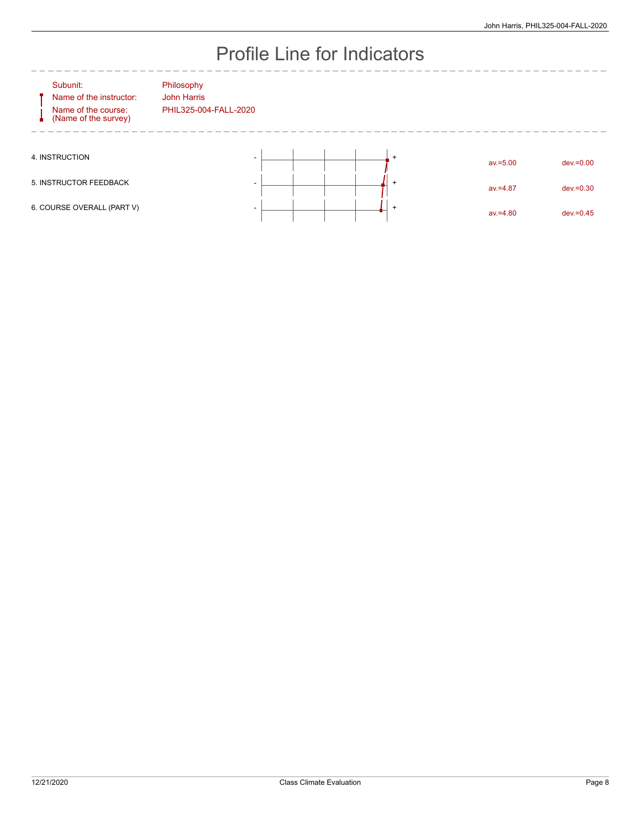# Profile Line for Indicators